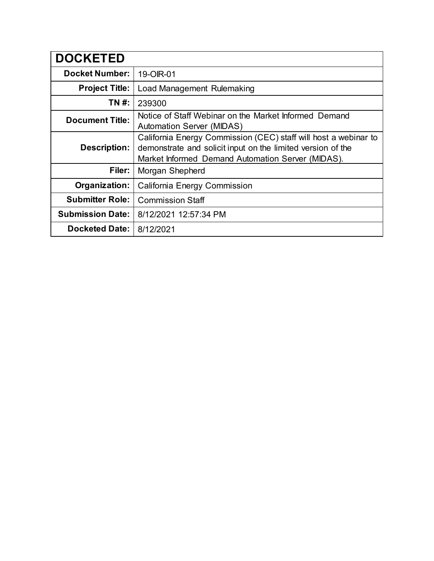| <b>DOCKETED</b>         |                                                                                                                                                                                     |
|-------------------------|-------------------------------------------------------------------------------------------------------------------------------------------------------------------------------------|
| <b>Docket Number:</b>   | 19-OIR-01                                                                                                                                                                           |
| <b>Project Title:</b>   | Load Management Rulemaking                                                                                                                                                          |
| TN #:                   | 239300                                                                                                                                                                              |
| <b>Document Title:</b>  | Notice of Staff Webinar on the Market Informed Demand<br><b>Automation Server (MIDAS)</b>                                                                                           |
| Description:            | California Energy Commission (CEC) staff will host a webinar to<br>demonstrate and solicit input on the limited version of the<br>Market Informed Demand Automation Server (MIDAS). |
| Filer:                  | Morgan Shepherd                                                                                                                                                                     |
| Organization:           | California Energy Commission                                                                                                                                                        |
| <b>Submitter Role:</b>  | <b>Commission Staff</b>                                                                                                                                                             |
| <b>Submission Date:</b> | 8/12/2021 12:57:34 PM                                                                                                                                                               |
| <b>Docketed Date:</b>   | 8/12/2021                                                                                                                                                                           |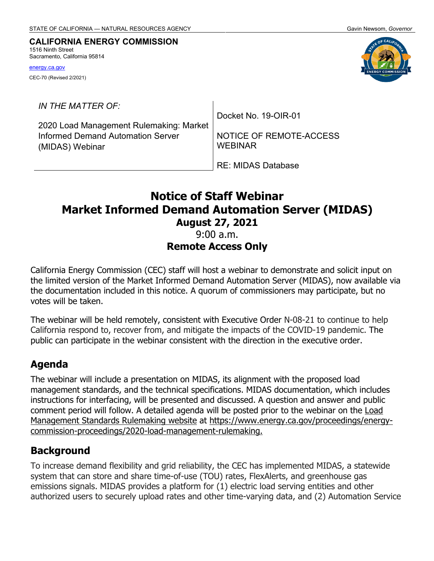#### **CALIFORNIA ENERGY COMMISSION** 1516 Ninth Street

Sacramento, California 95814

[energy.ca.gov](http://www.energy.ca.gov/)

CEC-70 (Revised 2/2021)

*IN THE MATTER OF:*

2020 Load Management Rulemaking: Market Informed Demand Automation Server (MIDAS) Webinar

Docket No. 19-OIR-01

NOTICE OF REMOTE-ACCESS WEBINAR

RE: MIDAS Database

# **Notice of Staff Webinar Market Informed Demand Automation Server (MIDAS) August 27, 2021**

#### 9:00 a.m. **Remote Access Only**

California Energy Commission (CEC) staff will host a webinar to demonstrate and solicit input on the limited version of the Market Informed Demand Automation Server (MIDAS), now available via the documentation included in this notice. A quorum of commissioners may participate, but no votes will be taken.

The webinar will be held remotely, consistent with Executive Order N-08-21 to continue to help California respond to, recover from, and mitigate the impacts of the COVID-19 pandemic. The public can participate in the webinar consistent with the direction in the executive order.

#### **Agenda**

The webinar will include a presentation on MIDAS, its alignment with the proposed load management standards, and the technical specifications. MIDAS documentation, which includes instructions for interfacing, will be presented and discussed. A question and answer and public comment period will follow. A detailed agenda will be posted prior to the webinar on the [Load](https://www.energy.ca.gov/proceedings/energy-commission-proceedings/2020-load-management-rulemaking)  [Management S](https://www.energy.ca.gov/proceedings/energy-commission-proceedings/2020-load-management-rulemaking)tandards Rulemaking website at [https://www.energy.ca.gov/proceedings/energy](https://www.energy.ca.gov/proceedings/energy-commission-proceedings/2020-load-management-rulemaking)[commission-proceedings/2020-load-management-rulemaking.](https://www.energy.ca.gov/proceedings/energy-commission-proceedings/2020-load-management-rulemaking)

#### **Background**

To increase demand flexibility and grid reliability, the CEC has implemented MIDAS, a statewide system that can store and share time-of-use (TOU) rates, FlexAlerts, and greenhouse gas emissions signals. MIDAS provides a platform for (1) electric load serving entities and other authorized users to securely upload rates and other time-varying data, and (2) Automation Service

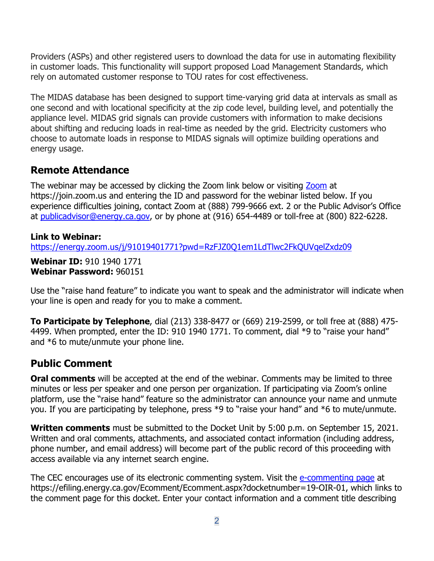Providers (ASPs) and other registered users to download the data for use in automating flexibility in customer loads. This functionality will support proposed Load Management Standards, which rely on automated customer response to TOU rates for cost effectiveness.

The MIDAS database has been designed to support time-varying grid data at intervals as small as one second and with locational specificity at the zip code level, building level, and potentially the appliance level. MIDAS grid signals can provide customers with information to make decisions about shifting and reducing loads in real-time as needed by the grid. Electricity customers who choose to automate loads in response to MIDAS signals will optimize building operations and energy usage.

#### **Remote Attendance**

The webinar may be accessed by clicking the Zoom link below or visiting [Zoom](https://zoom.us/join) at https://join.zoom.us and entering the ID and password for the webinar listed below. If you experience difficulties joining, contact Zoom at (888) 799-9666 ext. 2 or the Public Advisor's Office at [publicadvisor@energy.ca.go](mailto:publicadvisor@energy.ca.gov)v, or by phone at (916) 654-4489 or toll-free at (800) 822-6228.

#### **Link to Webinar:**

[https://energy.zoom.us/j/91019401771?pwd=RzFJZ0Q1em1LdTlwc2FkQUVqelZxdz09](https://gcc02.safelinks.protection.outlook.com/?url=https%3A%2F%2Fenergy.zoom.us%2Fj%2F91019401771%3Fpwd%3DRzFJZ0Q1em1LdTlwc2FkQUVqelZxdz09&data=04%7C01%7C%7Cf469507dfc3d4b27640b08d947b37dc3%7Cac3a124413f44ef68d1bbaa27148194e%7C0%7C0%7C637619658501116255%7CUnknown%7CTWFpbGZsb3d8eyJWIjoiMC4wLjAwMDAiLCJQIjoiV2luMzIiLCJBTiI6Ik1haWwiLCJXVCI6Mn0%3D%7C1000&sdata=%2FLlx0f7ZlSD7DI63IUdOyv%2FYLA8pc7A9Q1fd%2BZkOsew%3D&reserved=0)

**Webinar ID:** 910 1940 1771 **Webinar Password:** 960151

Use the "raise hand feature" to indicate you want to speak and the administrator will indicate when your line is open and ready for you to make a comment.

**To Participate by Telephone**, dial (213) 338-8477 or (669) 219-2599, or toll free at (888) 475- 4499. When prompted, enter the ID: 910 1940 1771. To comment, dial \*9 to "raise your hand" and \*6 to mute/unmute your phone line.

## **Public Comment**

**Oral comments** will be accepted at the end of the webinar. Comments may be limited to three minutes or less per speaker and one person per organization. If participating via Zoom's online platform, use the "raise hand" feature so the administrator can announce your name and unmute you. If you are participating by telephone, press \*9 to "raise your hand" and \*6 to mute/unmute.

**Written comments** must be submitted to the Docket Unit by 5:00 p.m. on September 15, 2021. Written and oral comments, attachments, and associated contact information (including address, phone number, and email address) will become part of the public record of this proceeding with access available via any internet search engine.

The CEC encourages use of its electronic commenting system. Visit the [e-commenting page](https://efiling.energy.ca.gov/Ecomment/Ecomment.aspx?docketnumber=19-OIR-01) at [https://efiling.energy.ca.gov/Ecomment/Ecomment.aspx?docketnumber=19-OIR-01,](https://efiling.energy.ca.gov/Ecomment/Ecomment.aspx?docketnumber=19-OIR-01) which links to the comment page for this docket. Enter your contact information and a comment title describing